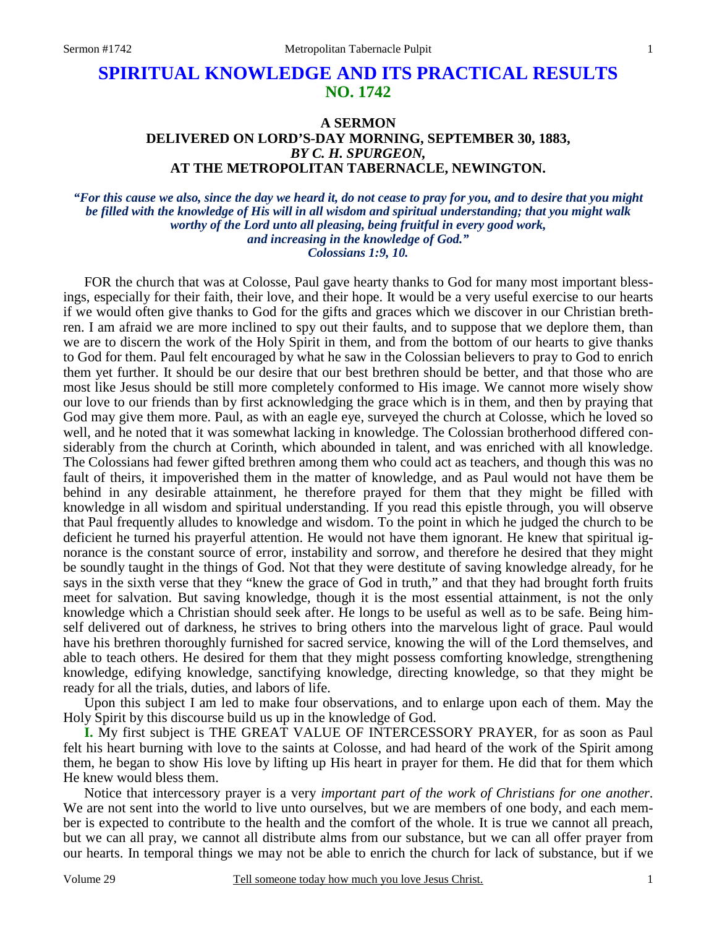# **SPIRITUAL KNOWLEDGE AND ITS PRACTICAL RESULTS NO. 1742**

## **A SERMON DELIVERED ON LORD'S-DAY MORNING, SEPTEMBER 30, 1883,**  *BY C. H. SPURGEON,*  **AT THE METROPOLITAN TABERNACLE, NEWINGTON.**

#### *"For this cause we also, since the day we heard it, do not cease to pray for you, and to desire that you might be filled with the knowledge of His will in all wisdom and spiritual understanding; that you might walk worthy of the Lord unto all pleasing, being fruitful in every good work, and increasing in the knowledge of God." Colossians 1:9, 10.*

FOR the church that was at Colosse, Paul gave hearty thanks to God for many most important blessings, especially for their faith, their love, and their hope. It would be a very useful exercise to our hearts if we would often give thanks to God for the gifts and graces which we discover in our Christian brethren. I am afraid we are more inclined to spy out their faults, and to suppose that we deplore them, than we are to discern the work of the Holy Spirit in them, and from the bottom of our hearts to give thanks to God for them. Paul felt encouraged by what he saw in the Colossian believers to pray to God to enrich them yet further. It should be our desire that our best brethren should be better, and that those who are most like Jesus should be still more completely conformed to His image. We cannot more wisely show our love to our friends than by first acknowledging the grace which is in them, and then by praying that God may give them more. Paul, as with an eagle eye, surveyed the church at Colosse, which he loved so well, and he noted that it was somewhat lacking in knowledge. The Colossian brotherhood differed considerably from the church at Corinth, which abounded in talent, and was enriched with all knowledge. The Colossians had fewer gifted brethren among them who could act as teachers, and though this was no fault of theirs, it impoverished them in the matter of knowledge, and as Paul would not have them be behind in any desirable attainment, he therefore prayed for them that they might be filled with knowledge in all wisdom and spiritual understanding. If you read this epistle through, you will observe that Paul frequently alludes to knowledge and wisdom. To the point in which he judged the church to be deficient he turned his prayerful attention. He would not have them ignorant. He knew that spiritual ignorance is the constant source of error, instability and sorrow, and therefore he desired that they might be soundly taught in the things of God. Not that they were destitute of saving knowledge already, for he says in the sixth verse that they "knew the grace of God in truth," and that they had brought forth fruits meet for salvation. But saving knowledge, though it is the most essential attainment, is not the only knowledge which a Christian should seek after. He longs to be useful as well as to be safe. Being himself delivered out of darkness, he strives to bring others into the marvelous light of grace. Paul would have his brethren thoroughly furnished for sacred service, knowing the will of the Lord themselves, and able to teach others. He desired for them that they might possess comforting knowledge, strengthening knowledge, edifying knowledge, sanctifying knowledge, directing knowledge, so that they might be ready for all the trials, duties, and labors of life.

 Upon this subject I am led to make four observations, and to enlarge upon each of them. May the Holy Spirit by this discourse build us up in the knowledge of God.

**I.** My first subject is THE GREAT VALUE OF INTERCESSORY PRAYER, for as soon as Paul felt his heart burning with love to the saints at Colosse, and had heard of the work of the Spirit among them, he began to show His love by lifting up His heart in prayer for them. He did that for them which He knew would bless them.

 Notice that intercessory prayer is a very *important part of the work of Christians for one another*. We are not sent into the world to live unto ourselves, but we are members of one body, and each member is expected to contribute to the health and the comfort of the whole. It is true we cannot all preach, but we can all pray, we cannot all distribute alms from our substance, but we can all offer prayer from our hearts. In temporal things we may not be able to enrich the church for lack of substance, but if we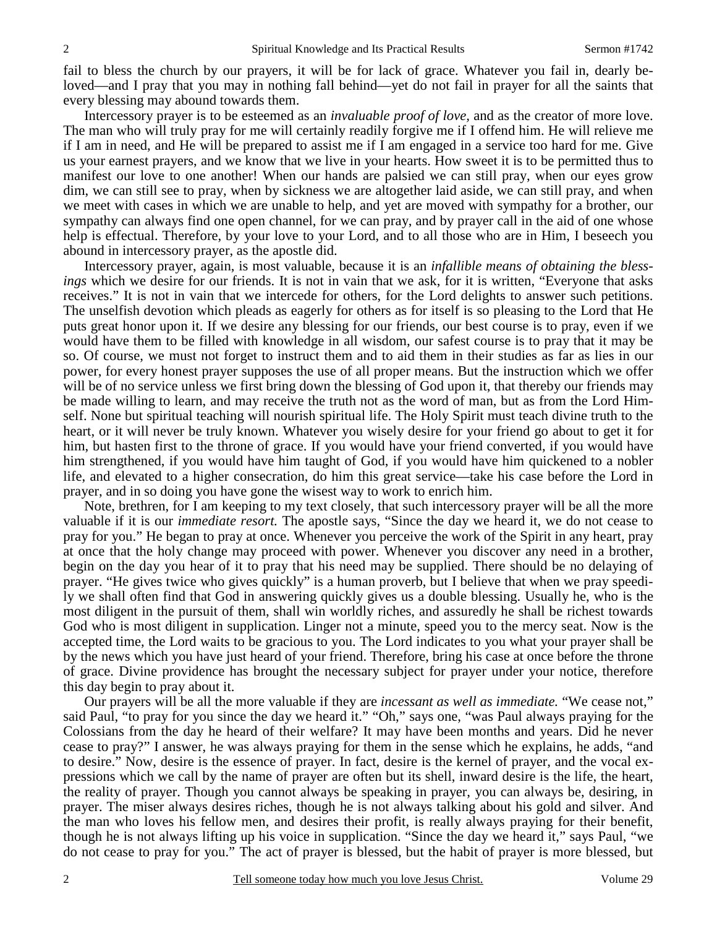fail to bless the church by our prayers, it will be for lack of grace. Whatever you fail in, dearly beloved—and I pray that you may in nothing fall behind—yet do not fail in prayer for all the saints that every blessing may abound towards them.

 Intercessory prayer is to be esteemed as an *invaluable proof of love,* and as the creator of more love. The man who will truly pray for me will certainly readily forgive me if I offend him. He will relieve me if I am in need, and He will be prepared to assist me if I am engaged in a service too hard for me. Give us your earnest prayers, and we know that we live in your hearts. How sweet it is to be permitted thus to manifest our love to one another! When our hands are palsied we can still pray, when our eyes grow dim, we can still see to pray, when by sickness we are altogether laid aside, we can still pray, and when we meet with cases in which we are unable to help, and yet are moved with sympathy for a brother, our sympathy can always find one open channel, for we can pray, and by prayer call in the aid of one whose help is effectual. Therefore, by your love to your Lord, and to all those who are in Him, I beseech you abound in intercessory prayer, as the apostle did.

 Intercessory prayer, again, is most valuable, because it is an *infallible means of obtaining the blessings* which we desire for our friends. It is not in vain that we ask, for it is written, "Everyone that asks receives." It is not in vain that we intercede for others, for the Lord delights to answer such petitions. The unselfish devotion which pleads as eagerly for others as for itself is so pleasing to the Lord that He puts great honor upon it. If we desire any blessing for our friends, our best course is to pray, even if we would have them to be filled with knowledge in all wisdom, our safest course is to pray that it may be so. Of course, we must not forget to instruct them and to aid them in their studies as far as lies in our power, for every honest prayer supposes the use of all proper means. But the instruction which we offer will be of no service unless we first bring down the blessing of God upon it, that thereby our friends may be made willing to learn, and may receive the truth not as the word of man, but as from the Lord Himself. None but spiritual teaching will nourish spiritual life. The Holy Spirit must teach divine truth to the heart, or it will never be truly known. Whatever you wisely desire for your friend go about to get it for him, but hasten first to the throne of grace. If you would have your friend converted, if you would have him strengthened, if you would have him taught of God, if you would have him quickened to a nobler life, and elevated to a higher consecration, do him this great service—take his case before the Lord in prayer, and in so doing you have gone the wisest way to work to enrich him.

 Note, brethren, for I am keeping to my text closely, that such intercessory prayer will be all the more valuable if it is our *immediate resort.* The apostle says, "Since the day we heard it, we do not cease to pray for you." He began to pray at once. Whenever you perceive the work of the Spirit in any heart, pray at once that the holy change may proceed with power. Whenever you discover any need in a brother, begin on the day you hear of it to pray that his need may be supplied. There should be no delaying of prayer. "He gives twice who gives quickly" is a human proverb, but I believe that when we pray speedily we shall often find that God in answering quickly gives us a double blessing. Usually he, who is the most diligent in the pursuit of them, shall win worldly riches, and assuredly he shall be richest towards God who is most diligent in supplication. Linger not a minute, speed you to the mercy seat. Now is the accepted time, the Lord waits to be gracious to you. The Lord indicates to you what your prayer shall be by the news which you have just heard of your friend. Therefore, bring his case at once before the throne of grace. Divine providence has brought the necessary subject for prayer under your notice, therefore this day begin to pray about it.

 Our prayers will be all the more valuable if they are *incessant as well as immediate.* "We cease not," said Paul, "to pray for you since the day we heard it." "Oh," says one, "was Paul always praying for the Colossians from the day he heard of their welfare? It may have been months and years. Did he never cease to pray?" I answer, he was always praying for them in the sense which he explains, he adds, "and to desire." Now, desire is the essence of prayer. In fact, desire is the kernel of prayer, and the vocal expressions which we call by the name of prayer are often but its shell, inward desire is the life, the heart, the reality of prayer. Though you cannot always be speaking in prayer, you can always be, desiring, in prayer. The miser always desires riches, though he is not always talking about his gold and silver. And the man who loves his fellow men, and desires their profit, is really always praying for their benefit, though he is not always lifting up his voice in supplication. "Since the day we heard it," says Paul, "we do not cease to pray for you." The act of prayer is blessed, but the habit of prayer is more blessed, but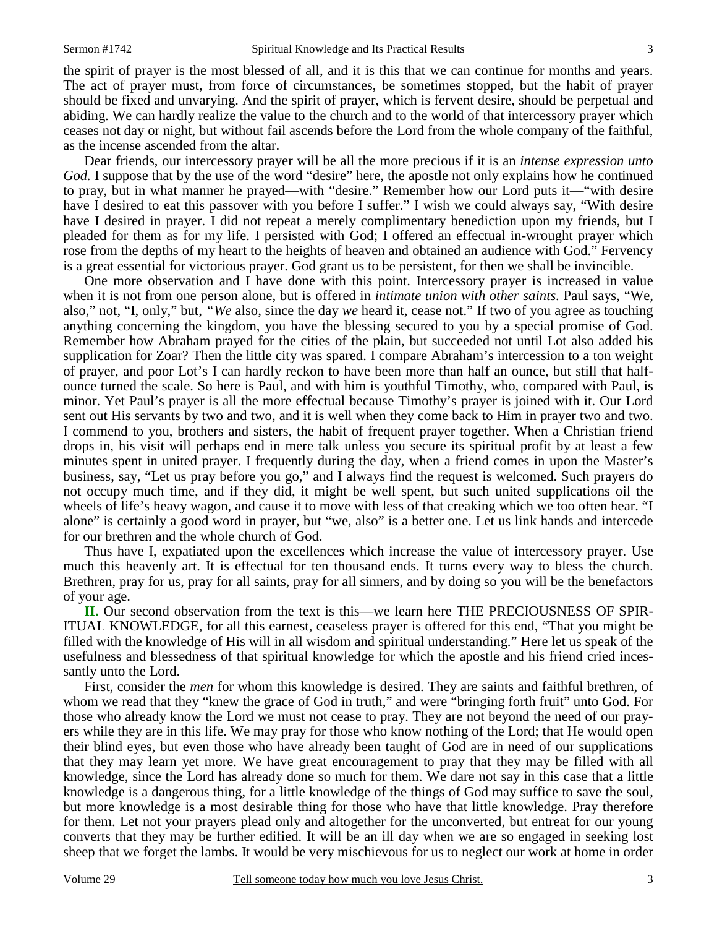the spirit of prayer is the most blessed of all, and it is this that we can continue for months and years. The act of prayer must, from force of circumstances, be sometimes stopped, but the habit of prayer should be fixed and unvarying. And the spirit of prayer, which is fervent desire, should be perpetual and abiding. We can hardly realize the value to the church and to the world of that intercessory prayer which ceases not day or night, but without fail ascends before the Lord from the whole company of the faithful, as the incense ascended from the altar.

 Dear friends, our intercessory prayer will be all the more precious if it is an *intense expression unto God.* I suppose that by the use of the word "desire" here, the apostle not only explains how he continued to pray, but in what manner he prayed—with "desire." Remember how our Lord puts it—"with desire have I desired to eat this passover with you before I suffer." I wish we could always say, "With desire have I desired in prayer. I did not repeat a merely complimentary benediction upon my friends, but I pleaded for them as for my life. I persisted with God; I offered an effectual in-wrought prayer which rose from the depths of my heart to the heights of heaven and obtained an audience with God." Fervency is a great essential for victorious prayer. God grant us to be persistent, for then we shall be invincible.

 One more observation and I have done with this point. Intercessory prayer is increased in value when it is not from one person alone, but is offered in *intimate union with other saints.* Paul says, "We, also," not, "I, only," but, *"We* also, since the day *we* heard it, cease not." If two of you agree as touching anything concerning the kingdom, you have the blessing secured to you by a special promise of God. Remember how Abraham prayed for the cities of the plain, but succeeded not until Lot also added his supplication for Zoar? Then the little city was spared. I compare Abraham's intercession to a ton weight of prayer, and poor Lot's I can hardly reckon to have been more than half an ounce, but still that halfounce turned the scale. So here is Paul, and with him is youthful Timothy, who, compared with Paul, is minor. Yet Paul's prayer is all the more effectual because Timothy's prayer is joined with it. Our Lord sent out His servants by two and two, and it is well when they come back to Him in prayer two and two. I commend to you, brothers and sisters, the habit of frequent prayer together. When a Christian friend drops in, his visit will perhaps end in mere talk unless you secure its spiritual profit by at least a few minutes spent in united prayer. I frequently during the day, when a friend comes in upon the Master's business, say, "Let us pray before you go," and I always find the request is welcomed. Such prayers do not occupy much time, and if they did, it might be well spent, but such united supplications oil the wheels of life's heavy wagon, and cause it to move with less of that creaking which we too often hear. "I alone" is certainly a good word in prayer, but "we, also" is a better one. Let us link hands and intercede for our brethren and the whole church of God.

 Thus have I, expatiated upon the excellences which increase the value of intercessory prayer. Use much this heavenly art. It is effectual for ten thousand ends. It turns every way to bless the church. Brethren, pray for us, pray for all saints, pray for all sinners, and by doing so you will be the benefactors of your age.

**II.** Our second observation from the text is this—we learn here THE PRECIOUSNESS OF SPIR-ITUAL KNOWLEDGE, for all this earnest, ceaseless prayer is offered for this end, "That you might be filled with the knowledge of His will in all wisdom and spiritual understanding." Here let us speak of the usefulness and blessedness of that spiritual knowledge for which the apostle and his friend cried incessantly unto the Lord.

 First, consider the *men* for whom this knowledge is desired. They are saints and faithful brethren, of whom we read that they "knew the grace of God in truth," and were "bringing forth fruit" unto God. For those who already know the Lord we must not cease to pray. They are not beyond the need of our prayers while they are in this life. We may pray for those who know nothing of the Lord; that He would open their blind eyes, but even those who have already been taught of God are in need of our supplications that they may learn yet more. We have great encouragement to pray that they may be filled with all knowledge, since the Lord has already done so much for them. We dare not say in this case that a little knowledge is a dangerous thing, for a little knowledge of the things of God may suffice to save the soul, but more knowledge is a most desirable thing for those who have that little knowledge. Pray therefore for them. Let not your prayers plead only and altogether for the unconverted, but entreat for our young converts that they may be further edified. It will be an ill day when we are so engaged in seeking lost sheep that we forget the lambs. It would be very mischievous for us to neglect our work at home in order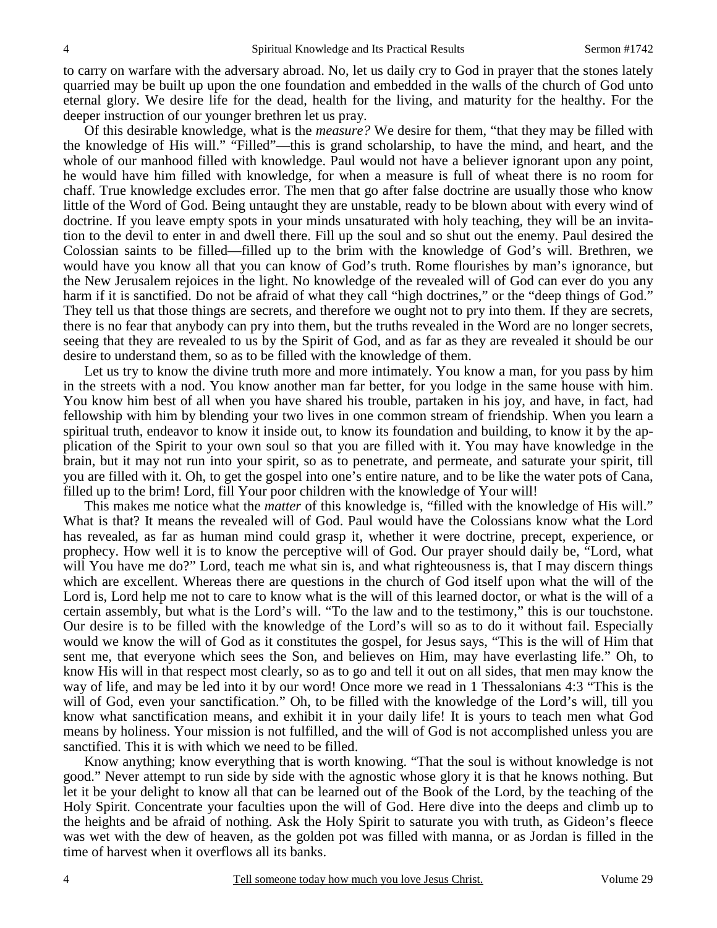to carry on warfare with the adversary abroad. No, let us daily cry to God in prayer that the stones lately quarried may be built up upon the one foundation and embedded in the walls of the church of God unto eternal glory. We desire life for the dead, health for the living, and maturity for the healthy. For the deeper instruction of our younger brethren let us pray.

 Of this desirable knowledge, what is the *measure?* We desire for them, "that they may be filled with the knowledge of His will." "Filled"—this is grand scholarship, to have the mind, and heart, and the whole of our manhood filled with knowledge. Paul would not have a believer ignorant upon any point, he would have him filled with knowledge, for when a measure is full of wheat there is no room for chaff. True knowledge excludes error. The men that go after false doctrine are usually those who know little of the Word of God. Being untaught they are unstable, ready to be blown about with every wind of doctrine. If you leave empty spots in your minds unsaturated with holy teaching, they will be an invitation to the devil to enter in and dwell there. Fill up the soul and so shut out the enemy. Paul desired the Colossian saints to be filled—filled up to the brim with the knowledge of God's will. Brethren, we would have you know all that you can know of God's truth. Rome flourishes by man's ignorance, but the New Jerusalem rejoices in the light. No knowledge of the revealed will of God can ever do you any harm if it is sanctified. Do not be afraid of what they call "high doctrines," or the "deep things of God." They tell us that those things are secrets, and therefore we ought not to pry into them. If they are secrets, there is no fear that anybody can pry into them, but the truths revealed in the Word are no longer secrets, seeing that they are revealed to us by the Spirit of God, and as far as they are revealed it should be our desire to understand them, so as to be filled with the knowledge of them.

Let us try to know the divine truth more and more intimately. You know a man, for you pass by him in the streets with a nod. You know another man far better, for you lodge in the same house with him. You know him best of all when you have shared his trouble, partaken in his joy, and have, in fact, had fellowship with him by blending your two lives in one common stream of friendship. When you learn a spiritual truth, endeavor to know it inside out, to know its foundation and building, to know it by the application of the Spirit to your own soul so that you are filled with it. You may have knowledge in the brain, but it may not run into your spirit, so as to penetrate, and permeate, and saturate your spirit, till you are filled with it. Oh, to get the gospel into one's entire nature, and to be like the water pots of Cana, filled up to the brim! Lord, fill Your poor children with the knowledge of Your will!

 This makes me notice what the *matter* of this knowledge is, "filled with the knowledge of His will." What is that? It means the revealed will of God. Paul would have the Colossians know what the Lord has revealed, as far as human mind could grasp it, whether it were doctrine, precept, experience, or prophecy. How well it is to know the perceptive will of God. Our prayer should daily be, "Lord, what will You have me do?" Lord, teach me what sin is, and what righteousness is, that I may discern things which are excellent. Whereas there are questions in the church of God itself upon what the will of the Lord is, Lord help me not to care to know what is the will of this learned doctor, or what is the will of a certain assembly, but what is the Lord's will. "To the law and to the testimony," this is our touchstone. Our desire is to be filled with the knowledge of the Lord's will so as to do it without fail. Especially would we know the will of God as it constitutes the gospel, for Jesus says, "This is the will of Him that sent me, that everyone which sees the Son, and believes on Him, may have everlasting life." Oh, to know His will in that respect most clearly, so as to go and tell it out on all sides, that men may know the way of life, and may be led into it by our word! Once more we read in 1 Thessalonians 4:3 "This is the will of God, even your sanctification." Oh, to be filled with the knowledge of the Lord's will, till you know what sanctification means, and exhibit it in your daily life! It is yours to teach men what God means by holiness. Your mission is not fulfilled, and the will of God is not accomplished unless you are sanctified. This it is with which we need to be filled.

 Know anything; know everything that is worth knowing. "That the soul is without knowledge is not good." Never attempt to run side by side with the agnostic whose glory it is that he knows nothing. But let it be your delight to know all that can be learned out of the Book of the Lord, by the teaching of the Holy Spirit. Concentrate your faculties upon the will of God. Here dive into the deeps and climb up to the heights and be afraid of nothing. Ask the Holy Spirit to saturate you with truth, as Gideon's fleece was wet with the dew of heaven, as the golden pot was filled with manna, or as Jordan is filled in the time of harvest when it overflows all its banks.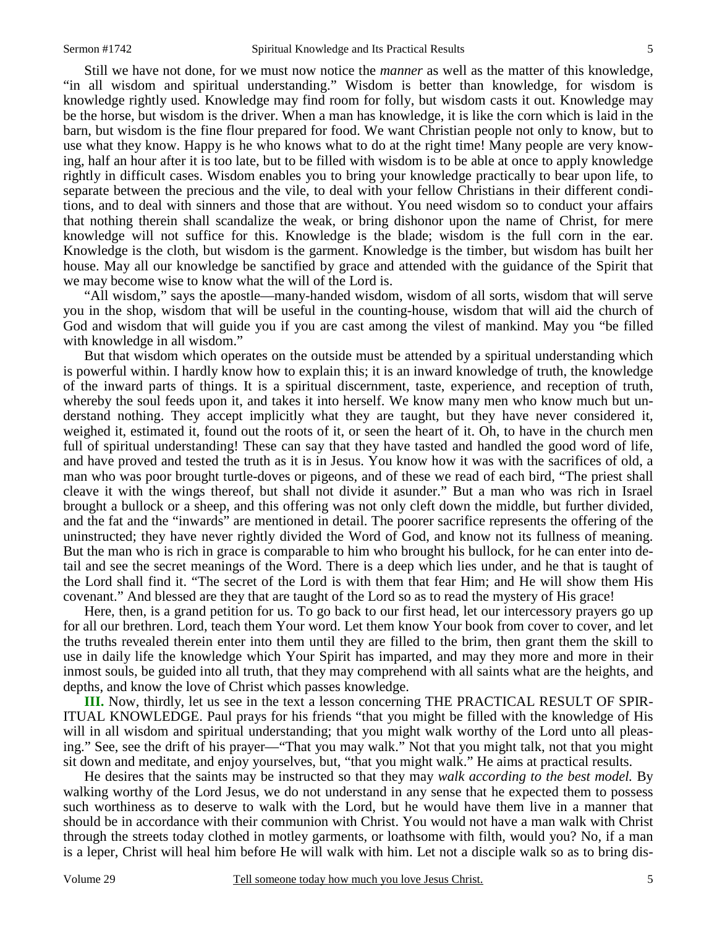Still we have not done, for we must now notice the *manner* as well as the matter of this knowledge, "in all wisdom and spiritual understanding." Wisdom is better than knowledge, for wisdom is knowledge rightly used. Knowledge may find room for folly, but wisdom casts it out. Knowledge may be the horse, but wisdom is the driver. When a man has knowledge, it is like the corn which is laid in the barn, but wisdom is the fine flour prepared for food. We want Christian people not only to know, but to use what they know. Happy is he who knows what to do at the right time! Many people are very knowing, half an hour after it is too late, but to be filled with wisdom is to be able at once to apply knowledge rightly in difficult cases. Wisdom enables you to bring your knowledge practically to bear upon life, to separate between the precious and the vile, to deal with your fellow Christians in their different conditions, and to deal with sinners and those that are without. You need wisdom so to conduct your affairs that nothing therein shall scandalize the weak, or bring dishonor upon the name of Christ, for mere knowledge will not suffice for this. Knowledge is the blade; wisdom is the full corn in the ear. Knowledge is the cloth, but wisdom is the garment. Knowledge is the timber, but wisdom has built her house. May all our knowledge be sanctified by grace and attended with the guidance of the Spirit that we may become wise to know what the will of the Lord is.

 "All wisdom," says the apostle—many-handed wisdom, wisdom of all sorts, wisdom that will serve you in the shop, wisdom that will be useful in the counting-house, wisdom that will aid the church of God and wisdom that will guide you if you are cast among the vilest of mankind. May you "be filled with knowledge in all wisdom."

 But that wisdom which operates on the outside must be attended by a spiritual understanding which is powerful within. I hardly know how to explain this; it is an inward knowledge of truth, the knowledge of the inward parts of things. It is a spiritual discernment, taste, experience, and reception of truth, whereby the soul feeds upon it, and takes it into herself. We know many men who know much but understand nothing. They accept implicitly what they are taught, but they have never considered it, weighed it, estimated it, found out the roots of it, or seen the heart of it. Oh, to have in the church men full of spiritual understanding! These can say that they have tasted and handled the good word of life, and have proved and tested the truth as it is in Jesus. You know how it was with the sacrifices of old, a man who was poor brought turtle-doves or pigeons, and of these we read of each bird, "The priest shall cleave it with the wings thereof, but shall not divide it asunder." But a man who was rich in Israel brought a bullock or a sheep, and this offering was not only cleft down the middle, but further divided, and the fat and the "inwards" are mentioned in detail. The poorer sacrifice represents the offering of the uninstructed; they have never rightly divided the Word of God, and know not its fullness of meaning. But the man who is rich in grace is comparable to him who brought his bullock, for he can enter into detail and see the secret meanings of the Word. There is a deep which lies under, and he that is taught of the Lord shall find it. "The secret of the Lord is with them that fear Him; and He will show them His covenant." And blessed are they that are taught of the Lord so as to read the mystery of His grace!

 Here, then, is a grand petition for us. To go back to our first head, let our intercessory prayers go up for all our brethren. Lord, teach them Your word. Let them know Your book from cover to cover, and let the truths revealed therein enter into them until they are filled to the brim, then grant them the skill to use in daily life the knowledge which Your Spirit has imparted, and may they more and more in their inmost souls, be guided into all truth, that they may comprehend with all saints what are the heights, and depths, and know the love of Christ which passes knowledge.

**III.** Now, thirdly, let us see in the text a lesson concerning THE PRACTICAL RESULT OF SPIR-ITUAL KNOWLEDGE. Paul prays for his friends "that you might be filled with the knowledge of His will in all wisdom and spiritual understanding; that you might walk worthy of the Lord unto all pleasing." See, see the drift of his prayer—"That you may walk." Not that you might talk, not that you might sit down and meditate, and enjoy yourselves, but, "that you might walk." He aims at practical results.

 He desires that the saints may be instructed so that they may *walk according to the best model.* By walking worthy of the Lord Jesus, we do not understand in any sense that he expected them to possess such worthiness as to deserve to walk with the Lord, but he would have them live in a manner that should be in accordance with their communion with Christ. You would not have a man walk with Christ through the streets today clothed in motley garments, or loathsome with filth, would you? No, if a man is a leper, Christ will heal him before He will walk with him. Let not a disciple walk so as to bring dis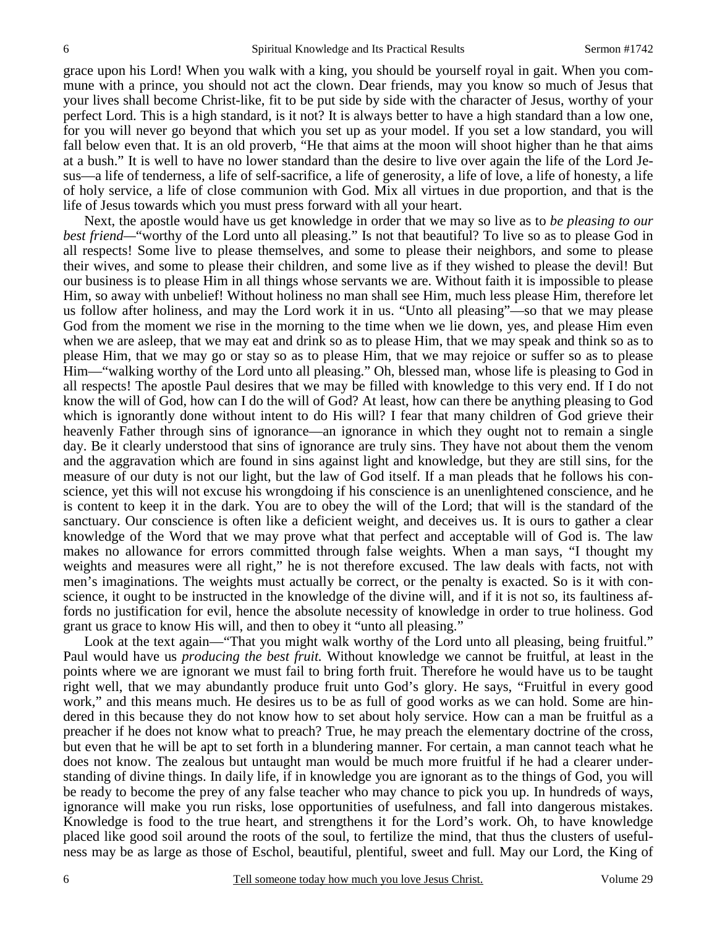grace upon his Lord! When you walk with a king, you should be yourself royal in gait. When you commune with a prince, you should not act the clown. Dear friends, may you know so much of Jesus that your lives shall become Christ-like, fit to be put side by side with the character of Jesus, worthy of your perfect Lord. This is a high standard, is it not? It is always better to have a high standard than a low one, for you will never go beyond that which you set up as your model. If you set a low standard, you will fall below even that. It is an old proverb, "He that aims at the moon will shoot higher than he that aims at a bush." It is well to have no lower standard than the desire to live over again the life of the Lord Jesus—a life of tenderness, a life of self-sacrifice, a life of generosity, a life of love, a life of honesty, a life of holy service, a life of close communion with God. Mix all virtues in due proportion, and that is the life of Jesus towards which you must press forward with all your heart.

 Next, the apostle would have us get knowledge in order that we may so live as to *be pleasing to our best friend—*"worthy of the Lord unto all pleasing." Is not that beautiful? To live so as to please God in all respects! Some live to please themselves, and some to please their neighbors, and some to please their wives, and some to please their children, and some live as if they wished to please the devil! But our business is to please Him in all things whose servants we are. Without faith it is impossible to please Him, so away with unbelief! Without holiness no man shall see Him, much less please Him, therefore let us follow after holiness, and may the Lord work it in us. "Unto all pleasing"—so that we may please God from the moment we rise in the morning to the time when we lie down, yes, and please Him even when we are asleep, that we may eat and drink so as to please Him, that we may speak and think so as to please Him, that we may go or stay so as to please Him, that we may rejoice or suffer so as to please Him—"walking worthy of the Lord unto all pleasing." Oh, blessed man, whose life is pleasing to God in all respects! The apostle Paul desires that we may be filled with knowledge to this very end. If I do not know the will of God, how can I do the will of God? At least, how can there be anything pleasing to God which is ignorantly done without intent to do His will? I fear that many children of God grieve their heavenly Father through sins of ignorance—an ignorance in which they ought not to remain a single day. Be it clearly understood that sins of ignorance are truly sins. They have not about them the venom and the aggravation which are found in sins against light and knowledge, but they are still sins, for the measure of our duty is not our light, but the law of God itself. If a man pleads that he follows his conscience, yet this will not excuse his wrongdoing if his conscience is an unenlightened conscience, and he is content to keep it in the dark. You are to obey the will of the Lord; that will is the standard of the sanctuary. Our conscience is often like a deficient weight, and deceives us. It is ours to gather a clear knowledge of the Word that we may prove what that perfect and acceptable will of God is. The law makes no allowance for errors committed through false weights. When a man says, "I thought my weights and measures were all right," he is not therefore excused. The law deals with facts, not with men's imaginations. The weights must actually be correct, or the penalty is exacted. So is it with conscience, it ought to be instructed in the knowledge of the divine will, and if it is not so, its faultiness affords no justification for evil, hence the absolute necessity of knowledge in order to true holiness. God grant us grace to know His will, and then to obey it "unto all pleasing."

Look at the text again—"That you might walk worthy of the Lord unto all pleasing, being fruitful." Paul would have us *producing the best fruit.* Without knowledge we cannot be fruitful, at least in the points where we are ignorant we must fail to bring forth fruit. Therefore he would have us to be taught right well, that we may abundantly produce fruit unto God's glory. He says, "Fruitful in every good work," and this means much. He desires us to be as full of good works as we can hold. Some are hindered in this because they do not know how to set about holy service. How can a man be fruitful as a preacher if he does not know what to preach? True, he may preach the elementary doctrine of the cross, but even that he will be apt to set forth in a blundering manner. For certain, a man cannot teach what he does not know. The zealous but untaught man would be much more fruitful if he had a clearer understanding of divine things. In daily life, if in knowledge you are ignorant as to the things of God, you will be ready to become the prey of any false teacher who may chance to pick you up. In hundreds of ways, ignorance will make you run risks, lose opportunities of usefulness, and fall into dangerous mistakes. Knowledge is food to the true heart, and strengthens it for the Lord's work. Oh, to have knowledge placed like good soil around the roots of the soul, to fertilize the mind, that thus the clusters of usefulness may be as large as those of Eschol, beautiful, plentiful, sweet and full. May our Lord, the King of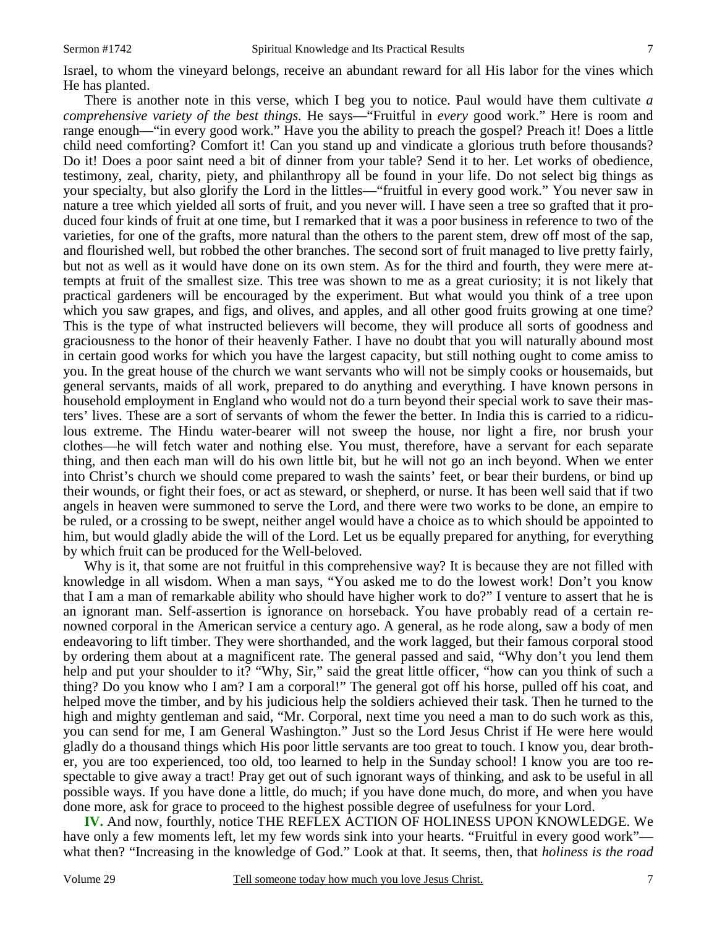Israel, to whom the vineyard belongs, receive an abundant reward for all His labor for the vines which He has planted.

 There is another note in this verse, which I beg you to notice. Paul would have them cultivate *a comprehensive variety of the best things.* He says—"Fruitful in *every* good work." Here is room and range enough—"in every good work." Have you the ability to preach the gospel? Preach it! Does a little child need comforting? Comfort it! Can you stand up and vindicate a glorious truth before thousands? Do it! Does a poor saint need a bit of dinner from your table? Send it to her. Let works of obedience, testimony, zeal, charity, piety, and philanthropy all be found in your life. Do not select big things as your specialty, but also glorify the Lord in the littles—"fruitful in every good work." You never saw in nature a tree which yielded all sorts of fruit, and you never will. I have seen a tree so grafted that it produced four kinds of fruit at one time, but I remarked that it was a poor business in reference to two of the varieties, for one of the grafts, more natural than the others to the parent stem, drew off most of the sap, and flourished well, but robbed the other branches. The second sort of fruit managed to live pretty fairly, but not as well as it would have done on its own stem. As for the third and fourth, they were mere attempts at fruit of the smallest size. This tree was shown to me as a great curiosity; it is not likely that practical gardeners will be encouraged by the experiment. But what would you think of a tree upon which you saw grapes, and figs, and olives, and apples, and all other good fruits growing at one time? This is the type of what instructed believers will become, they will produce all sorts of goodness and graciousness to the honor of their heavenly Father. I have no doubt that you will naturally abound most in certain good works for which you have the largest capacity, but still nothing ought to come amiss to you. In the great house of the church we want servants who will not be simply cooks or housemaids, but general servants, maids of all work, prepared to do anything and everything. I have known persons in household employment in England who would not do a turn beyond their special work to save their masters' lives. These are a sort of servants of whom the fewer the better. In India this is carried to a ridiculous extreme. The Hindu water-bearer will not sweep the house, nor light a fire, nor brush your clothes—he will fetch water and nothing else. You must, therefore, have a servant for each separate thing, and then each man will do his own little bit, but he will not go an inch beyond. When we enter into Christ's church we should come prepared to wash the saints' feet, or bear their burdens, or bind up their wounds, or fight their foes, or act as steward, or shepherd, or nurse. It has been well said that if two angels in heaven were summoned to serve the Lord, and there were two works to be done, an empire to be ruled, or a crossing to be swept, neither angel would have a choice as to which should be appointed to him, but would gladly abide the will of the Lord. Let us be equally prepared for anything, for everything by which fruit can be produced for the Well-beloved.

 Why is it, that some are not fruitful in this comprehensive way? It is because they are not filled with knowledge in all wisdom. When a man says, "You asked me to do the lowest work! Don't you know that I am a man of remarkable ability who should have higher work to do?" I venture to assert that he is an ignorant man. Self-assertion is ignorance on horseback. You have probably read of a certain renowned corporal in the American service a century ago. A general, as he rode along, saw a body of men endeavoring to lift timber. They were shorthanded, and the work lagged, but their famous corporal stood by ordering them about at a magnificent rate. The general passed and said, "Why don't you lend them help and put your shoulder to it? "Why, Sir," said the great little officer, "how can you think of such a thing? Do you know who I am? I am a corporal!" The general got off his horse, pulled off his coat, and helped move the timber, and by his judicious help the soldiers achieved their task. Then he turned to the high and mighty gentleman and said, "Mr. Corporal, next time you need a man to do such work as this, you can send for me, I am General Washington." Just so the Lord Jesus Christ if He were here would gladly do a thousand things which His poor little servants are too great to touch. I know you, dear brother, you are too experienced, too old, too learned to help in the Sunday school! I know you are too respectable to give away a tract! Pray get out of such ignorant ways of thinking, and ask to be useful in all possible ways. If you have done a little, do much; if you have done much, do more, and when you have done more, ask for grace to proceed to the highest possible degree of usefulness for your Lord.

**IV.** And now, fourthly, notice THE REFLEX ACTION OF HOLINESS UPON KNOWLEDGE. We have only a few moments left, let my few words sink into your hearts. "Fruitful in every good work" what then? "Increasing in the knowledge of God." Look at that. It seems, then, that *holiness is the road*